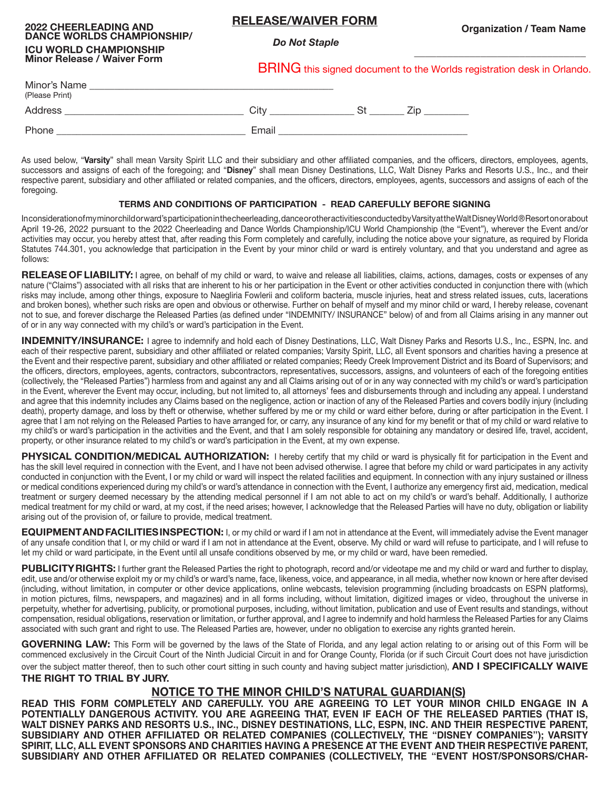## **RELEASE/WAIVER FORM**

 *Do Not Staple*

**\_\_\_\_\_\_\_\_\_\_\_\_\_\_\_\_\_\_\_\_\_\_\_\_\_\_\_\_\_\_\_**

## **2022 CHEERLEADING AND DANCE WORLDS CHAMPIONSHIP/ ICU WORLD CHAMPIONSHIP Minor Release / Waiver Form**

BRING this signed document to the Worlds registration desk in Orlando.

| Minor's Name<br>(Please Print) |       |  |
|--------------------------------|-------|--|
| Address                        | Citv  |  |
| Phone                          | Email |  |

As used below, "**Varsity**" shall mean Varsity Spirit LLC and their subsidiary and other affiliated companies, and the officers, directors, employees, agents, successors and assigns of each of the foregoing; and "**Disney**" shall mean Disney Destinations, LLC, Walt Disney Parks and Resorts U.S., Inc., and their respective parent, subsidiary and other affiliated or related companies, and the officers, directors, employees, agents, successors and assigns of each of the foregoing.

## **TERMS AND CONDITIONS OF PARTICIPATION - READ CAREFULLY BEFORE SIGNING**

In consideration of my minor child or ward's participation in the cheerleading, dance or other activities conducted by Varsity at the Walt Disney World ® Resort on or about April 19-26, 2022 pursuant to the 2022 Cheerleading and Dance Worlds Championship/ICU World Championship (the "Event"), wherever the Event and/or activities may occur, you hereby attest that, after reading this Form completely and carefully, including the notice above your signature, as required by Florida Statutes 744.301, you acknowledge that participation in the Event by your minor child or ward is entirely voluntary, and that you understand and agree as follows:

**RELEASE OF LIABILITY:** I agree, on behalf of my child or ward, to waive and release all liabilities, claims, actions, damages, costs or expenses of any nature ("Claims") associated with all risks that are inherent to his or her participation in the Event or other activities conducted in conjunction there with (which risks may include, among other things, exposure to Naegliria Fowlerii and coliform bacteria, muscle injuries, heat and stress related issues, cuts, lacerations and broken bones), whether such risks are open and obvious or otherwise. Further on behalf of myself and my minor child or ward, I hereby release, covenant not to sue, and forever discharge the Released Parties (as defined under "INDEMNITY/ INSURANCE" below) of and from all Claims arising in any manner out of or in any way connected with my child's or ward's participation in the Event.

**INDEMNITY/INSURANCE:** I agree to indemnify and hold each of Disney Destinations, LLC, Walt Disney Parks and Resorts U.S., Inc., ESPN, Inc. and each of their respective parent, subsidiary and other affiliated or related companies; Varsity Spirit, LLC, all Event sponsors and charities having a presence at the Event and their respective parent, subsidiary and other affiliated or related companies; Reedy Creek Improvement District and its Board of Supervisors; and the officers, directors, employees, agents, contractors, subcontractors, representatives, successors, assigns, and volunteers of each of the foregoing entities (collectively, the "Released Parties") harmless from and against any and all Claims arising out of or in any way connected with my child's or ward's participation in the Event, wherever the Event may occur, including, but not limited to, all attorneys' fees and disbursements through and including any appeal. I understand and agree that this indemnity includes any Claims based on the negligence, action or inaction of any of the Released Parties and covers bodily injury (including death), property damage, and loss by theft or otherwise, whether suffered by me or my child or ward either before, during or after participation in the Event. I agree that I am not relying on the Released Parties to have arranged for, or carry, any insurance of any kind for my benefit or that of my child or ward relative to my child's or ward's participation in the activities and the Event, and that I am solely responsible for obtaining any mandatory or desired life, travel, accident, property, or other insurance related to my child's or ward's participation in the Event, at my own expense.

**PHYSICAL CONDITION/MEDICAL AUTHORIZATION:** I hereby certify that my child or ward is physically fit for participation in the Event and has the skill level required in connection with the Event, and I have not been advised otherwise. I agree that before my child or ward participates in any activity conducted in conjunction with the Event, I or my child or ward will inspect the related facilities and equipment. In connection with any injury sustained or illness or medical conditions experienced during my child's or ward's attendance in connection with the Event, I authorize any emergency first aid, medication, medical treatment or surgery deemed necessary by the attending medical personnel if I am not able to act on my child's or ward's behalf. Additionally, I authorize medical treatment for my child or ward, at my cost, if the need arises; however, I acknowledge that the Released Parties will have no duty, obligation or liability arising out of the provision of, or failure to provide, medical treatment.

**EQUIPMENT AND FACILITIES INSPECTION:** I, or my child or ward if I am not in attendance at the Event, will immediately advise the Event manager of any unsafe condition that I, or my child or ward if I am not in attendance at the Event, observe. My child or ward will refuse to participate, and I will refuse to let my child or ward participate, in the Event until all unsafe conditions observed by me, or my child or ward, have been remedied.

PUBLICITY RIGHTS: I further grant the Released Parties the right to photograph, record and/or videotape me and my child or ward and further to display, edit, use and/or otherwise exploit my or my child's or ward's name, face, likeness, voice, and appearance, in all media, whether now known or here after devised (including, without limitation, in computer or other device applications, online webcasts, television programming (including broadcasts on ESPN platforms), in motion pictures, films, newspapers, and magazines) and in all forms including, without limitation, digitized images or video, throughout the universe in perpetuity, whether for advertising, publicity, or promotional purposes, including, without limitation, publication and use of Event results and standings, without compensation, residual obligations, reservation or limitation, or further approval, and I agree to indemnify and hold harmless the Released Parties for any Claims associated with such grant and right to use. The Released Parties are, however, under no obligation to exercise any rights granted herein.

GOVERNING LAW: This Form will be governed by the laws of the State of Florida, and any legal action relating to or arising out of this Form will be commenced exclusively in the Circuit Court of the Ninth Judicial Circuit in and for Orange County, Florida (or if such Circuit Court does not have jurisdiction over the subject matter thereof, then to such other court sitting in such county and having subject matter jurisdiction), **AND I SPECIFICALLY WAIVE THE RIGHT TO TRIAL BY JURY.**

# **NOTICE TO THE MINOR CHILD'S NATURAL GUARDIAN(S)**

**READ THIS FORM COMPLETELY AND CAREFULLY. YOU ARE AGREEING TO LET YOUR MINOR CHILD ENGAGE IN A POTENTIALLY DANGEROUS ACTIVITY. YOU ARE AGREEING THAT, EVEN IF EACH OF THE RELEASED PARTIES (THAT IS, WALT DISNEY PARKS AND RESORTS U.S., INC., DISNEY DESTINATIONS, LLC, ESPN, INC. AND THEIR RESPECTIVE PARENT, SUBSIDIARY AND OTHER AFFILIATED OR RELATED COMPANIES (COLLECTIVELY, THE "DISNEY COMPANIES"); VARSITY SPIRIT, LLC, ALL EVENT SPONSORS AND CHARITIES HAVING A PRESENCE AT THE EVENT AND THEIR RESPECTIVE PARENT, SUBSIDIARY AND OTHER AFFILIATED OR RELATED COMPANIES (COLLECTIVELY, THE "EVENT HOST/SPONSORS/CHAR-**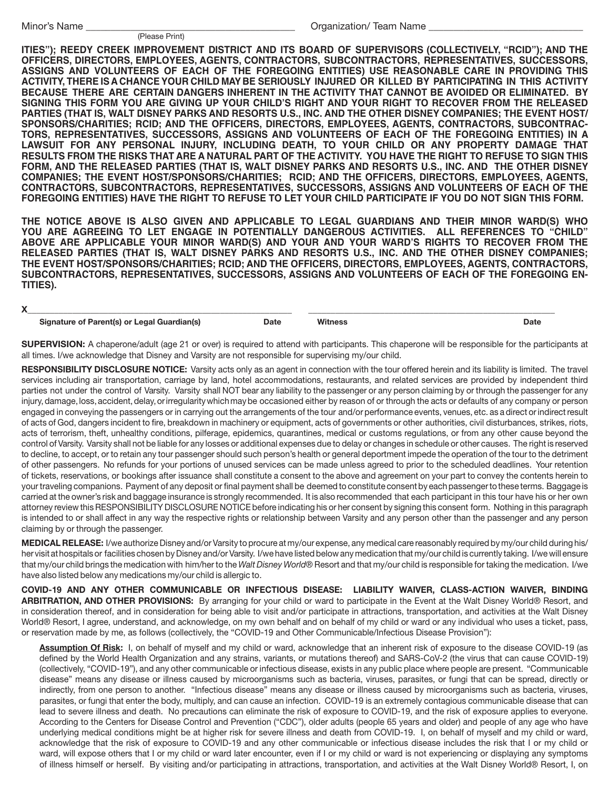#### (Please Print)

Organization/ Team Name

**ITIES"); REEDY CREEK IMPROVEMENT DISTRICT AND ITS BOARD OF SUPERVISORS (COLLECTIVELY, "RCID"); AND THE OFFICERS, DIRECTORS, EMPLOYEES, AGENTS, CONTRACTORS, SUBCONTRACTORS, REPRESENTATIVES, SUCCESSORS, ASSIGNS AND VOLUNTEERS OF EACH OF THE FOREGOING ENTITIES) USE REASONABLE CARE IN PROVIDING THIS ACTIVITY, THERE IS A CHANCE YOUR CHILD MAY BE SERIOUSLY INJURED OR KILLED BY PARTICIPATING IN THIS ACTIVITY BECAUSE THERE ARE CERTAIN DANGERS INHERENT IN THE ACTIVITY THAT CANNOT BE AVOIDED OR ELIMINATED. BY SIGNING THIS FORM YOU ARE GIVING UP YOUR CHILD'S RIGHT AND YOUR RIGHT TO RECOVER FROM THE RELEASED PARTIES (THAT IS, WALT DISNEY PARKS AND RESORTS U.S., INC. AND THE OTHER DISNEY COMPANIES; THE EVENT HOST/ SPONSORS/CHARITIES; RCID; AND THE OFFICERS, DIRECTORS, EMPLOYEES, AGENTS, CONTRACTORS, SUBCONTRAC-TORS, REPRESENTATIVES, SUCCESSORS, ASSIGNS AND VOLUNTEERS OF EACH OF THE FOREGOING ENTITIES) IN A LAWSUIT FOR ANY PERSONAL INJURY, INCLUDING DEATH, TO YOUR CHILD OR ANY PROPERTY DAMAGE THAT RESULTS FROM THE RISKS THAT ARE A NATURAL PART OF THE ACTIVITY. YOU HAVE THE RIGHT TO REFUSE TO SIGN THIS FORM, AND THE RELEASED PARTIES (THAT IS, WALT DISNEY PARKS AND RESORTS U.S., INC. AND THE OTHER DISNEY COMPANIES; THE EVENT HOST/SPONSORS/CHARITIES; RCID; AND THE OFFICERS, DIRECTORS, EMPLOYEES, AGENTS, CONTRACTORS, SUBCONTRACTORS, REPRESENTATIVES, SUCCESSORS, ASSIGNS AND VOLUNTEERS OF EACH OF THE FOREGOING ENTITIES) HAVE THE RIGHT TO REFUSE TO LET YOUR CHILD PARTICIPATE IF YOU DO NOT SIGN THIS FORM.**

**THE NOTICE ABOVE IS ALSO GIVEN AND APPLICABLE TO LEGAL GUARDIANS AND THEIR MINOR WARD(S) WHO YOU ARE AGREEING TO LET ENGAGE IN POTENTIALLY DANGEROUS ACTIVITIES. ALL REFERENCES TO "CHILD" ABOVE ARE APPLICABLE YOUR MINOR WARD(S) AND YOUR AND YOUR WARD'S RIGHTS TO RECOVER FROM THE RELEASED PARTIES (THAT IS, WALT DISNEY PARKS AND RESORTS U.S., INC. AND THE OTHER DISNEY COMPANIES; THE EVENT HOST/SPONSORS/CHARITIES; RCID; AND THE OFFICERS, DIRECTORS, EMPLOYEES, AGENTS, CONTRACTORS, SUBCONTRACTORS, REPRESENTATIVES, SUCCESSORS, ASSIGNS AND VOLUNTEERS OF EACH OF THE FOREGOING EN-TITIES).**

## **X\_\_\_\_\_\_\_\_\_\_\_\_\_\_\_\_\_\_\_\_\_\_\_\_\_\_\_\_\_\_\_\_\_\_\_\_\_\_\_\_\_\_\_\_\_\_\_\_\_\_\_\_\_\_\_\_\_\_\_ \_\_\_\_\_\_\_\_\_\_\_\_\_\_\_\_\_\_\_\_\_\_\_\_\_\_\_\_\_\_\_\_\_\_\_\_\_\_\_\_\_\_\_\_\_\_\_\_\_\_\_\_\_\_\_**

**Signature of Parent(s) or Legal Guardian(s) Date Witness Date**

**SUPERVISION:** A chaperone/adult (age 21 or over) is required to attend with participants. This chaperone will be responsible for the participants at all times. I/we acknowledge that Disney and Varsity are not responsible for supervising my/our child.

**RESPONSIBILITY DISCLOSURE NOTICE:** Varsity acts only as an agent in connection with the tour offered herein and its liability is limited. The travel services including air transportation, carriage by land, hotel accommodations, restaurants, and related services are provided by independent third parties not under the control of Varsity. Varsity shall NOT bear any liability to the passenger or any person claiming by or through the passenger for any injury, damage, loss, accident, delay, or irregularity which may be occasioned either by reason of or through the acts or defaults of any company or person engaged in conveying the passengers or in carrying out the arrangements of the tour and/or performance events, venues, etc. as a direct or indirect result of acts of God, dangers incident to fire, breakdown in machinery or equipment, acts of governments or other authorities, civil disturbances, strikes, riots, acts of terrorism, theft, unhealthy conditions, pilferage, epidemics, quarantines, medical or customs regulations, or from any other cause beyond the control of Varsity. Varsity shall not be liable for any losses or additional expenses due to delay or changes in schedule or other causes. The right is reserved to decline, to accept, or to retain any tour passenger should such person's health or general deportment impede the operation of the tour to the detriment of other passengers. No refunds for your portions of unused services can be made unless agreed to prior to the scheduled deadlines. Your retention of tickets, reservations, or bookings after issuance shall constitute a consent to the above and agreement on your part to convey the contents herein to your traveling companions. Payment of any deposit or final payment shall be deemed to constitute consent by each passenger to these terms. Baggage is carried at the owner's risk and baggage insurance is strongly recommended. It is also recommended that each participant in this tour have his or her own attorney review this RESPONSIBILITY DISCLOSURE NOTICE before indicating his or her consent by signing this consent form. Nothing in this paragraph is intended to or shall affect in any way the respective rights or relationship between Varsity and any person other than the passenger and any person claiming by or through the passenger.

**MEDICAL RELEASE:** I/we authorize Disney and/or Varsity to procure at my/our expense, any medical care reasonably required by my/our child during his/ her visit at hospitals or facilities chosen by Disney and/or Varsity. I/we have listed below any medication that my/our child is currently taking. I/we will ensure that my/our child brings the medication with him/her to the *Walt Disney World*® Resort and that my/our child is responsible for taking the medication. I/we have also listed below any medications my/our child is allergic to.

**COVID-19 AND ANY OTHER COMMUNICABLE OR INFECTIOUS DISEASE: LIABILITY WAIVER, CLASS-ACTION WAIVER, BINDING ARBITRATION, AND OTHER PROVISIONS:** By arranging for your child or ward to participate in the Event at the Walt Disney World® Resort, and in consideration thereof, and in consideration for being able to visit and/or participate in attractions, transportation, and activities at the Walt Disney World® Resort, I agree, understand, and acknowledge, on my own behalf and on behalf of my child or ward or any individual who uses a ticket, pass, or reservation made by me, as follows (collectively, the "COVID-19 and Other Communicable/Infectious Disease Provision"):

**Assumption Of Risk:** I, on behalf of myself and my child or ward, acknowledge that an inherent risk of exposure to the disease COVID-19 (as defined by the World Health Organization and any strains, variants, or mutations thereof) and SARS-CoV-2 (the virus that can cause COVID-19) (collectively, "COVID-19"), and any other communicable or infectious disease, exists in any public place where people are present. "Communicable disease" means any disease or illness caused by microorganisms such as bacteria, viruses, parasites, or fungi that can be spread, directly or indirectly, from one person to another. "Infectious disease" means any disease or illness caused by microorganisms such as bacteria, viruses, parasites, or fungi that enter the body, multiply, and can cause an infection. COVID-19 is an extremely contagious communicable disease that can lead to severe illness and death. No precautions can eliminate the risk of exposure to COVID-19, and the risk of exposure applies to everyone. According to the Centers for Disease Control and Prevention ("CDC"), older adults (people 65 years and older) and people of any age who have underlying medical conditions might be at higher risk for severe illness and death from COVID-19. I, on behalf of myself and my child or ward, acknowledge that the risk of exposure to COVID-19 and any other communicable or infectious disease includes the risk that I or my child or ward, will expose others that I or my child or ward later encounter, even if I or my child or ward is not experiencing or displaying any symptoms of illness himself or herself. By visiting and/or participating in attractions, transportation, and activities at the Walt Disney World® Resort, I, on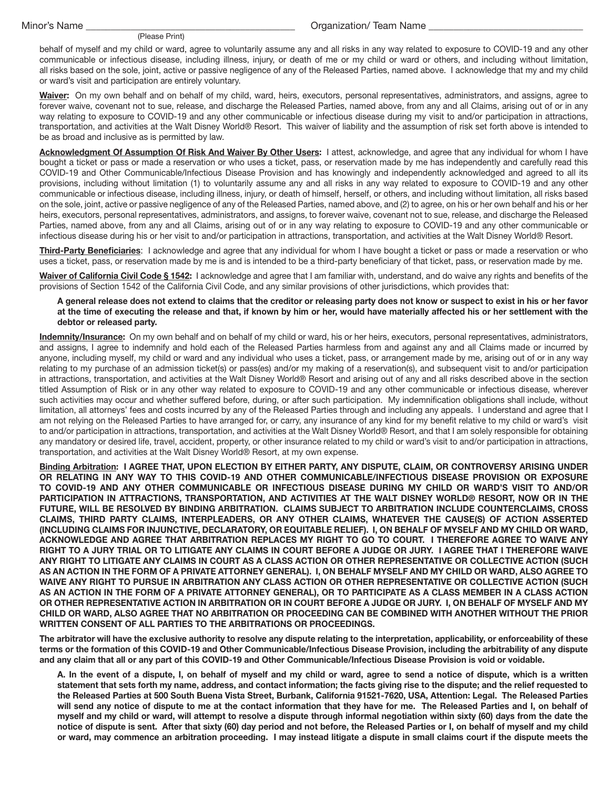### (Please Print)

## Organization/ Team Name

behalf of myself and my child or ward, agree to voluntarily assume any and all risks in any way related to exposure to COVID-19 and any other communicable or infectious disease, including illness, injury, or death of me or my child or ward or others, and including without limitation, all risks based on the sole, joint, active or passive negligence of any of the Released Parties, named above. I acknowledge that my and my child or ward's visit and participation are entirely voluntary.

**Waiver:** On my own behalf and on behalf of my child, ward, heirs, executors, personal representatives, administrators, and assigns, agree to forever waive, covenant not to sue, release, and discharge the Released Parties, named above, from any and all Claims, arising out of or in any way relating to exposure to COVID-19 and any other communicable or infectious disease during my visit to and/or participation in attractions, transportation, and activities at the Walt Disney World® Resort. This waiver of liability and the assumption of risk set forth above is intended to be as broad and inclusive as is permitted by law.

**Acknowledgment Of Assumption Of Risk And Waiver By Other Users:** I attest, acknowledge, and agree that any individual for whom I have bought a ticket or pass or made a reservation or who uses a ticket, pass, or reservation made by me has independently and carefully read this COVID-19 and Other Communicable/Infectious Disease Provision and has knowingly and independently acknowledged and agreed to all its provisions, including without limitation (1) to voluntarily assume any and all risks in any way related to exposure to COVID-19 and any other communicable or infectious disease, including illness, injury, or death of himself, herself, or others, and including without limitation, all risks based on the sole, joint, active or passive negligence of any of the Released Parties, named above, and (2) to agree, on his or her own behalf and his or her heirs, executors, personal representatives, administrators, and assigns, to forever waive, covenant not to sue, release, and discharge the Released Parties, named above, from any and all Claims, arising out of or in any way relating to exposure to COVID-19 and any other communicable or infectious disease during his or her visit to and/or participation in attractions, transportation, and activities at the Walt Disney World® Resort.

**Third-Party Beneficiaries**: I acknowledge and agree that any individual for whom I have bought a ticket or pass or made a reservation or who uses a ticket, pass, or reservation made by me is and is intended to be a third-party beneficiary of that ticket, pass, or reservation made by me.

**Waiver of California Civil Code § 1542:** I acknowledge and agree that I am familiar with, understand, and do waive any rights and benefits of the provisions of Section 1542 of the California Civil Code, and any similar provisions of other jurisdictions, which provides that:

**A general release does not extend to claims that the creditor or releasing party does not know or suspect to exist in his or her favor at the time of executing the release and that, if known by him or her, would have materially affected his or her settlement with the debtor or released party.**

**Indemnity/Insurance:** On my own behalf and on behalf of my child or ward, his or her heirs, executors, personal representatives, administrators, and assigns, I agree to indemnify and hold each of the Released Parties harmless from and against any and all Claims made or incurred by anyone, including myself, my child or ward and any individual who uses a ticket, pass, or arrangement made by me, arising out of or in any way relating to my purchase of an admission ticket(s) or pass(es) and/or my making of a reservation(s), and subsequent visit to and/or participation in attractions, transportation, and activities at the Walt Disney World® Resort and arising out of any and all risks described above in the section titled Assumption of Risk or in any other way related to exposure to COVID-19 and any other communicable or infectious disease, wherever such activities may occur and whether suffered before, during, or after such participation. My indemnification obligations shall include, without limitation, all attorneys' fees and costs incurred by any of the Released Parties through and including any appeals. I understand and agree that I am not relying on the Released Parties to have arranged for, or carry, any insurance of any kind for my benefit relative to my child or ward's visit to and/or participation in attractions, transportation, and activities at the Walt Disney World® Resort, and that I am solely responsible for obtaining any mandatory or desired life, travel, accident, property, or other insurance related to my child or ward's visit to and/or participation in attractions, transportation, and activities at the Walt Disney World® Resort, at my own expense.

**Binding Arbitration: I AGREE THAT, UPON ELECTION BY EITHER PARTY, ANY DISPUTE, CLAIM, OR CONTROVERSY ARISING UNDER OR RELATING IN ANY WAY TO THIS COVID-19 AND OTHER COMMUNICABLE/INFECTIOUS DISEASE PROVISION OR EXPOSURE TO COVID-19 AND ANY OTHER COMMUNICABLE OR INFECTIOUS DISEASE DURING MY CHILD OR WARD'S VISIT TO AND/OR PARTICIPATION IN ATTRACTIONS, TRANSPORTATION, AND ACTIVITIES AT THE WALT DISNEY WORLD® RESORT, NOW OR IN THE FUTURE, WILL BE RESOLVED BY BINDING ARBITRATION. CLAIMS SUBJECT TO ARBITRATION INCLUDE COUNTERCLAIMS, CROSS CLAIMS, THIRD PARTY CLAIMS, INTERPLEADERS, OR ANY OTHER CLAIMS, WHATEVER THE CAUSE(S) OF ACTION ASSERTED (INCLUDING CLAIMS FOR INJUNCTIVE, DECLARATORY, OR EQUITABLE RELIEF). I, ON BEHALF OF MYSELF AND MY CHILD OR WARD, ACKNOWLEDGE AND AGREE THAT ARBITRATION REPLACES MY RIGHT TO GO TO COURT. I THEREFORE AGREE TO WAIVE ANY RIGHT TO A JURY TRIAL OR TO LITIGATE ANY CLAIMS IN COURT BEFORE A JUDGE OR JURY. I AGREE THAT I THEREFORE WAIVE ANY RIGHT TO LITIGATE ANY CLAIMS IN COURT AS A CLASS ACTION OR OTHER REPRESENTATIVE OR COLLECTIVE ACTION (SUCH AS AN ACTION IN THE FORM OF A PRIVATE ATTORNEY GENERAL). I, ON BEHALF MYSELF AND MY CHILD OR WARD, ALSO AGREE TO WAIVE ANY RIGHT TO PURSUE IN ARBITRATION ANY CLASS ACTION OR OTHER REPRESENTATIVE OR COLLECTIVE ACTION (SUCH AS AN ACTION IN THE FORM OF A PRIVATE ATTORNEY GENERAL), OR TO PARTICIPATE AS A CLASS MEMBER IN A CLASS ACTION OR OTHER REPRESENTATIVE ACTION IN ARBITRATION OR IN COURT BEFORE A JUDGE OR JURY. I, ON BEHALF OF MYSELF AND MY CHILD OR WARD, ALSO AGREE THAT NO ARBITRATION OR PROCEEDING CAN BE COMBINED WITH ANOTHER WITHOUT THE PRIOR WRITTEN CONSENT OF ALL PARTIES TO THE ARBITRATIONS OR PROCEEDINGS.**

**The arbitrator will have the exclusive authority to resolve any dispute relating to the interpretation, applicability, or enforceability of these terms or the formation of this COVID-19 and Other Communicable/Infectious Disease Provision, including the arbitrability of any dispute and any claim that all or any part of this COVID-19 and Other Communicable/Infectious Disease Provision is void or voidable.** 

**A. In the event of a dispute, I, on behalf of myself and my child or ward, agree to send a notice of dispute, which is a written statement that sets forth my name, address, and contact information; the facts giving rise to the dispute; and the relief requested to the Released Parties at 500 South Buena Vista Street, Burbank, California 91521-7620, USA, Attention: Legal. The Released Parties will send any notice of dispute to me at the contact information that they have for me. The Released Parties and I, on behalf of myself and my child or ward, will attempt to resolve a dispute through informal negotiation within sixty (60) days from the date the notice of dispute is sent. After that sixty (60) day period and not before, the Released Parties or I, on behalf of myself and my child or ward, may commence an arbitration proceeding. I may instead litigate a dispute in small claims court if the dispute meets the**